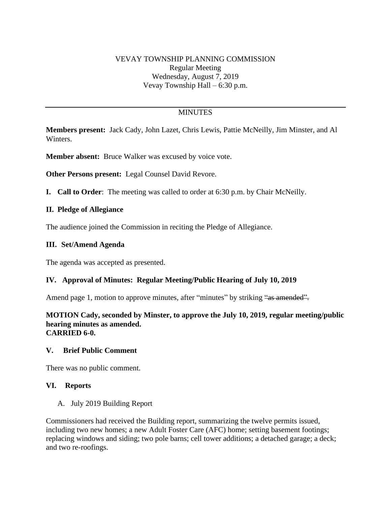# VEVAY TOWNSHIP PLANNING COMMISSION Regular Meeting Wednesday, August 7, 2019 Vevay Township Hall – 6:30 p.m.

# **MINUTES**

**Members present:** Jack Cady, John Lazet, Chris Lewis, Pattie McNeilly, Jim Minster, and Al Winters.

**Member absent:** Bruce Walker was excused by voice vote.

**Other Persons present:** Legal Counsel David Revore.

**I. Call to Order**: The meeting was called to order at 6:30 p.m. by Chair McNeilly.

### **II. Pledge of Allegiance**

The audience joined the Commission in reciting the Pledge of Allegiance.

### **III. Set/Amend Agenda**

The agenda was accepted as presented.

### **IV. Approval of Minutes: Regular Meeting/Public Hearing of July 10, 2019**

Amend page 1, motion to approve minutes, after "minutes" by striking "as amended".

#### **MOTION Cady, seconded by Minster, to approve the July 10, 2019, regular meeting/public hearing minutes as amended. CARRIED 6-0.**

#### **V. Brief Public Comment**

There was no public comment.

### **VI. Reports**

#### A. July 2019 Building Report

Commissioners had received the Building report, summarizing the twelve permits issued, including two new homes; a new Adult Foster Care (AFC) home; setting basement footings; replacing windows and siding; two pole barns; cell tower additions; a detached garage; a deck; and two re-roofings.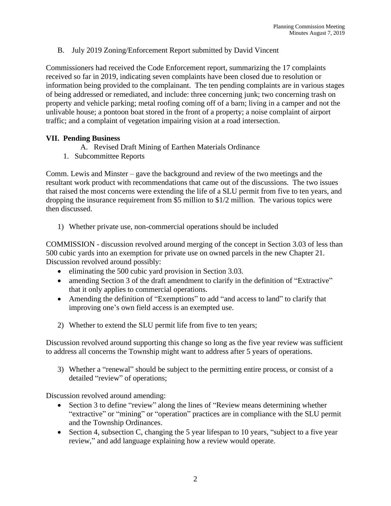B. July 2019 Zoning/Enforcement Report submitted by David Vincent

Commissioners had received the Code Enforcement report, summarizing the 17 complaints received so far in 2019, indicating seven complaints have been closed due to resolution or information being provided to the complainant. The ten pending complaints are in various stages of being addressed or remediated, and include: three concerning junk; two concerning trash on property and vehicle parking; metal roofing coming off of a barn; living in a camper and not the unlivable house; a pontoon boat stored in the front of a property; a noise complaint of airport traffic; and a complaint of vegetation impairing vision at a road intersection.

## **VII. Pending Business**

- A. Revised Draft Mining of Earthen Materials Ordinance
- 1. Subcommittee Reports

Comm. Lewis and Minster – gave the background and review of the two meetings and the resultant work product with recommendations that came out of the discussions. The two issues that raised the most concerns were extending the life of a SLU permit from five to ten years, and dropping the insurance requirement from \$5 million to \$1/2 million. The various topics were then discussed.

1) Whether private use, non-commercial operations should be included

COMMISSION - discussion revolved around merging of the concept in Section 3.03 of less than 500 cubic yards into an exemption for private use on owned parcels in the new Chapter 21. Discussion revolved around possibly:

- eliminating the 500 cubic yard provision in Section 3.03.
- amending Section 3 of the draft amendment to clarify in the definition of "Extractive" that it only applies to commercial operations.
- Amending the definition of "Exemptions" to add "and access to land" to clarify that improving one's own field access is an exempted use.
- 2) Whether to extend the SLU permit life from five to ten years;

Discussion revolved around supporting this change so long as the five year review was sufficient to address all concerns the Township might want to address after 5 years of operations.

3) Whether a "renewal" should be subject to the permitting entire process, or consist of a detailed "review" of operations;

Discussion revolved around amending:

- Section 3 to define "review" along the lines of "Review means determining whether "extractive" or "mining" or "operation" practices are in compliance with the SLU permit and the Township Ordinances.
- Section 4, subsection C, changing the 5 year lifespan to 10 years, "subject to a five year review," and add language explaining how a review would operate.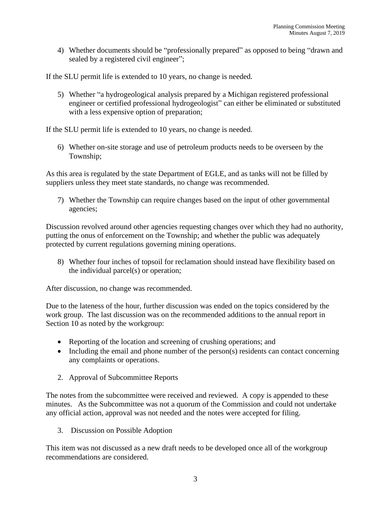4) Whether documents should be "professionally prepared" as opposed to being "drawn and sealed by a registered civil engineer";

If the SLU permit life is extended to 10 years, no change is needed.

5) Whether "a hydrogeological analysis prepared by a Michigan registered professional engineer or certified professional hydrogeologist" can either be eliminated or substituted with a less expensive option of preparation;

If the SLU permit life is extended to 10 years, no change is needed.

6) Whether on-site storage and use of petroleum products needs to be overseen by the Township;

As this area is regulated by the state Department of EGLE, and as tanks will not be filled by suppliers unless they meet state standards, no change was recommended.

7) Whether the Township can require changes based on the input of other governmental agencies;

Discussion revolved around other agencies requesting changes over which they had no authority, putting the onus of enforcement on the Township; and whether the public was adequately protected by current regulations governing mining operations.

8) Whether four inches of topsoil for reclamation should instead have flexibility based on the individual parcel(s) or operation;

After discussion, no change was recommended.

Due to the lateness of the hour, further discussion was ended on the topics considered by the work group. The last discussion was on the recommended additions to the annual report in Section 10 as noted by the workgroup:

- Reporting of the location and screening of crushing operations; and
- Including the email and phone number of the person(s) residents can contact concerning any complaints or operations.
- 2. Approval of Subcommittee Reports

The notes from the subcommittee were received and reviewed. A copy is appended to these minutes. As the Subcommittee was not a quorum of the Commission and could not undertake any official action, approval was not needed and the notes were accepted for filing.

3. Discussion on Possible Adoption

This item was not discussed as a new draft needs to be developed once all of the workgroup recommendations are considered.